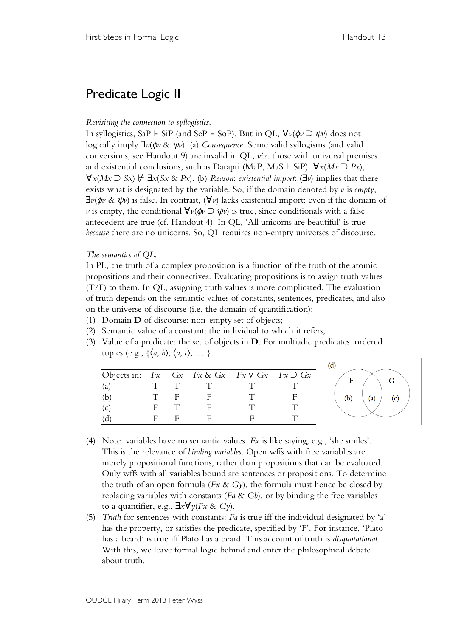# Predicate Logic II

# *Revisiting the connection to syllogistics*.

In syllogistics, SaP ⊧ SiP (and SeP ⊧ SoP). But in QL,  $\forall v(\phi v \supset \psi v)$  does not logically imply ∃*v*(φ*v* & ψ*v*). (a) *Consequence*. Some valid syllogisms (and valid conversions, see Handout 9) are invalid in QL, *viz*. those with universal premises and existential conclusions, such as Darapti (MaP, MaS ⊦ SiP): ∀*x*(*Mx* ⊃ *Px*),  $\forall x (Mx \supset Sx) \not\vdash \exists x (Sx \& Px)$ . (b) *Reason: existential import:* ( $\exists v$ ) implies that there exists what is designated by the variable. So, if the domain denoted by *v* is *empty*,  $\exists v(\phi v \& \psi v)$  is false. In contrast,  $(\forall v)$  lacks existential import: even if the domain of *v* is empty, the conditional  $\forall v(\phi v \supset \psi v)$  is true, since conditionals with a false antecedent are true (cf. Handout 4). In QL, 'All unicorns are beautiful' is true *because* there are no unicorns. So, QL requires non-empty universes of discourse.

# *The semantics of QL*.

In PL, the truth of a complex proposition is a function of the truth of the atomic propositions and their connectives. Evaluating propositions is to assign truth values  $(T/F)$  to them. In QL, assigning truth values is more complicated. The evaluation of truth depends on the semantic values of constants, sentences, predicates, and also on the universe of discourse (i.e. the domain of quantification):

- (1) Domain **D** of discourse: non-empty set of objects;
- (2) Semantic value of a constant: the individual to which it refers;
- (3) Value of a predicate: the set of objects in **D**. For multiadic predicates: ordered tuples (e.g.,  $\{\langle a, b \rangle, \langle a, c \rangle, \dots\}$ ).

|                                                               |  |  | (d)             |
|---------------------------------------------------------------|--|--|-----------------|
| Objects in: $Fx$ $Gx$ $Fx$ & $Gx$ $Fx$ $V$ $Gx$ $Fx$ $D$ $Gx$ |  |  |                 |
| (a                                                            |  |  |                 |
|                                                               |  |  | (b)<br>(a<br>c. |
| (c                                                            |  |  |                 |
|                                                               |  |  |                 |

- (4) Note: variables have no semantic values. *Fx* is like saying, e.g., 'she smiles'. This is the relevance of *binding variables*. Open wffs with free variables are merely propositional functions, rather than propositions that can be evaluated. Only wffs with all variables bound are sentences or propositions. To determine the truth of an open formula (*Fx* & *Gy*), the formula must hence be closed by replacing variables with constants (*Fa* & *Gb*), or by binding the free variables to a quantifier, e.g., ∃*x*∀*y*(*Fx* & *Gy*).
- (5) *Truth* for sentences with constants: *Fa* is true iff the individual designated by 'a' has the property, or satisfies the predicate, specified by 'F'. For instance, 'Plato has a beard' is true iff Plato has a beard. This account of truth is *disquotational*. With this, we leave formal logic behind and enter the philosophical debate about truth.